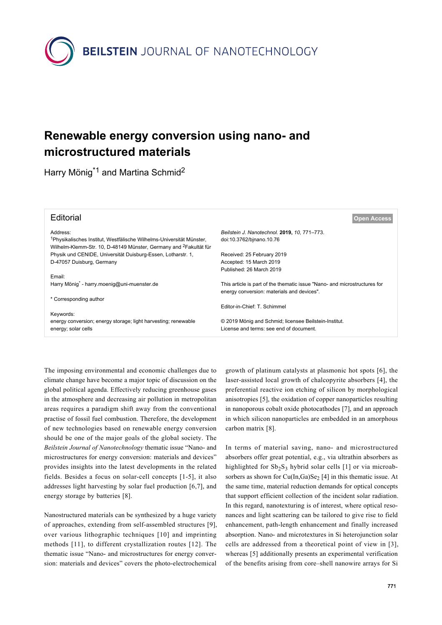

## **Renewable energy conversion using nano- and microstructured materials**

Harry Mönig<sup>\*1</sup> and Martina Schmid<sup>2</sup>

| <b>Open Access</b>                                                                                                      |
|-------------------------------------------------------------------------------------------------------------------------|
| Beilstein J. Nanotechnol. 2019, 10, 771-773.<br>doi:10.3762/binano.10.76                                                |
| Received: 25 February 2019<br>Accepted: 15 March 2019<br>Published: 26 March 2019                                       |
|                                                                                                                         |
| This article is part of the thematic issue "Nano- and microstructures for<br>energy conversion: materials and devices". |
| Editor-in-Chief: T. Schimmel                                                                                            |
| © 2019 Mönig and Schmid; licensee Beilstein-Institut.<br>License and terms: see end of document.                        |
|                                                                                                                         |

The imposing environmental and economic challenges due to climate change have become a major topic of discussion on the global political agenda. Effectively reducing greenhouse gases in the atmosphere and decreasing air pollution in metropolitan areas requires a paradigm shift away from the conventional practise of fossil fuel combustion. Therefore, the development of new technologies based on renewable energy conversion should be one of the major goals of the global society. The *Beilstein Journal of Nanotechnology* thematic issue "Nano- and microstructures for energy conversion: materials and devices" provides insights into the latest developments in the related fields. Besides a focus on solar-cell concepts [\[1-5\]](#page-1-0), it also addresses light harvesting by solar fuel production [\[6,7\],](#page-1-1) and energy storage by batteries [\[8\].](#page-2-0)

Nanostructured materials can be synthesized by a huge variety of approaches, extending from self-assembled structures [\[9\]](#page-2-1), over various lithographic techniques [\[10\]](#page-2-2) and imprinting methods [\[11\]](#page-2-3), to different crystallization routes [\[12\]](#page-2-4). The thematic issue "Nano- and microstructures for energy conversion: materials and devices" covers the photo-electrochemical

growth of platinum catalysts at plasmonic hot spots [\[6\]](#page-1-1), the laser-assisted local growth of chalcopyrite absorbers [\[4\],](#page-1-2) the preferential reactive ion etching of silicon by morphological anisotropies [\[5\],](#page-1-3) the oxidation of copper nanoparticles resulting in nanoporous cobalt oxide photocathodes [\[7\],](#page-2-5) and an approach in which silicon nanoparticles are embedded in an amorphous carbon matrix [\[8\]](#page-2-0).

In terms of material saving, nano- and microstructured absorbers offer great potential, e.g., via ultrathin absorbers as highlighted for Sb<sub>2</sub>S<sub>3</sub> hybrid solar cells [\[1\]](#page-1-0) or via microabsorbers as shown for  $Cu(In,Ga)Se<sub>2</sub>[4]$  $Cu(In,Ga)Se<sub>2</sub>[4]$  in this thematic issue. At the same time, material reduction demands for optical concepts that support efficient collection of the incident solar radiation. In this regard, nanotexturing is of interest, where optical resonances and light scattering can be tailored to give rise to field enhancement, path-length enhancement and finally increased absorption. Nano- and microtextures in Si heterojunction solar cells are addressed from a theoretical point of view in [\[3\]](#page-1-4), whereas [\[5\]](#page-1-3) additionally presents an experimental verification of the benefits arising from core–shell nanowire arrays for Si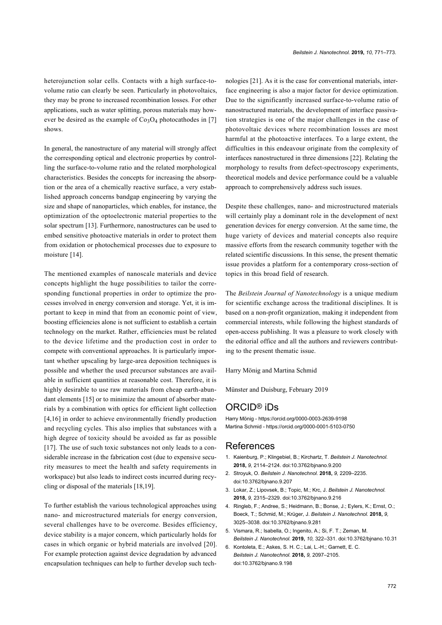heterojunction solar cells. Contacts with a high surface-tovolume ratio can clearly be seen. Particularly in photovoltaics, they may be prone to increased recombination losses. For other applications, such as water splitting, porous materials may however be desired as the example of  $Co<sub>3</sub>O<sub>4</sub>$  photocathodes in [\[7\]](#page-2-5) shows.

In general, the nanostructure of any material will strongly affect the corresponding optical and electronic properties by controlling the surface-to-volume ratio and the related morphological characteristics. Besides the concepts for increasing the absorption or the area of a chemically reactive surface, a very established approach concerns bandgap engineering by varying the size and shape of nanoparticles, which enables, for instance, the optimization of the optoelectronic material properties to the solar spectrum [\[13\]](#page-2-6). Furthermore, nanostructures can be used to embed sensitive photoactive materials in order to protect them from oxidation or photochemical processes due to exposure to moisture [\[14\].](#page-2-7)

The mentioned examples of nanoscale materials and device concepts highlight the huge possibilities to tailor the corresponding functional properties in order to optimize the processes involved in energy conversion and storage. Yet, it is important to keep in mind that from an economic point of view, boosting efficiencies alone is not sufficient to establish a certain technology on the market. Rather, efficiencies must be related to the device lifetime and the production cost in order to compete with conventional approaches. It is particularly important whether upscaling by large-area deposition techniques is possible and whether the used precursor substances are available in sufficient quantities at reasonable cost. Therefore, it is highly desirable to use raw materials from cheap earth-abundant elements [\[15\]](#page-2-8) or to minimize the amount of absorber materials by a combination with optics for efficient light collection [\[4,16\]](#page-1-2) in order to achieve environmentally friendly production and recycling cycles. This also implies that substances with a high degree of toxicity should be avoided as far as possible [\[17\].](#page-2-9) The use of such toxic substances not only leads to a considerable increase in the fabrication cost (due to expensive security measures to meet the health and safety requirements in workspace) but also leads to indirect costs incurred during recycling or disposal of the materials [\[18,19\].](#page-2-10)

To further establish the various technological approaches using nano- and microstructured materials for energy conversion, several challenges have to be overcome. Besides efficiency, device stability is a major concern, which particularly holds for cases in which organic or hybrid materials are involved [\[20\]](#page-2-11). For example protection against device degradation by advanced encapsulation techniques can help to further develop such technologies [\[21\].](#page-2-12) As it is the case for conventional materials, interface engineering is also a major factor for device optimization. Due to the significantly increased surface-to-volume ratio of nanostructured materials, the development of interface passivation strategies is one of the major challenges in the case of photovoltaic devices where recombination losses are most harmful at the photoactive interfaces. To a large extent, the difficulties in this endeavour originate from the complexity of interfaces nanostructured in three dimensions [\[22\].](#page-2-13) Relating the morphology to results from defect-spectroscopy experiments, theoretical models and device performance could be a valuable approach to comprehensively address such issues.

Despite these challenges, nano- and microstructured materials will certainly play a dominant role in the development of next generation devices for energy conversion. At the same time, the huge variety of devices and material concepts also require massive efforts from the research community together with the related scientific discussions. In this sense, the present thematic issue provides a platform for a contemporary cross-section of topics in this broad field of research.

The *Beilstein Journal of Nanotechnology* is a unique medium for scientific exchange across the traditional disciplines. It is based on a non-profit organization, making it independent from commercial interests, while following the highest standards of open-access publishing. It was a pleasure to work closely with the editorial office and all the authors and reviewers contributing to the present thematic issue.

Harry Mönig and Martina Schmid

Münster and Duisburg, February 2019

## ORCID® iDs

Harry Mönig - <https://orcid.org/0000-0003-2639-9198> Martina Schmid -<https://orcid.org/0000-0001-5103-0750>

## References

- <span id="page-1-0"></span>1. Kaienburg, P.; Klingebiel, B.; Kirchartz, T. *Beilstein J. Nanotechnol.* **2018,** *9,* 2114–2124. [doi:10.3762/bjnano.9.200](https://doi.org/10.3762%2Fbjnano.9.200)
- 2. Stroyuk, O. *Beilstein J. Nanotechnol.* **2018,** *9,* 2209–2235. [doi:10.3762/bjnano.9.207](https://doi.org/10.3762%2Fbjnano.9.207)
- <span id="page-1-4"></span>3. Lokar, Z.; Lipovsek, B.; Topic, M.; Krc, J. *Beilstein J. Nanotechnol.* **2018,** *9,* 2315–2329. [doi:10.3762/bjnano.9.216](https://doi.org/10.3762%2Fbjnano.9.216)
- <span id="page-1-2"></span>4. Ringleb, F.; Andree, S.; Heidmann, B.; Bonse, J.; Eylers, K.; Ernst, O.; Boeck, T.; Schmid, M.; Krüger, J. *Beilstein J. Nanotechnol.* **2018,** *9,* 3025–3038. [doi:10.3762/bjnano.9.281](https://doi.org/10.3762%2Fbjnano.9.281)
- <span id="page-1-3"></span>5. Vismara, R.; Isabella, O.; Ingenito, A.; Si, F. T.; Zeman, M. *Beilstein J. Nanotechnol.* **2019,** *10,* 322–331. [doi:10.3762/bjnano.10.31](https://doi.org/10.3762%2Fbjnano.10.31)
- <span id="page-1-1"></span>6. Kontoleta, E.; Askes, S. H. C.; Lai, L.-H.; Garnett, E. C. *Beilstein J. Nanotechnol.* **2018,** *9,* 2097–2105. [doi:10.3762/bjnano.9.198](https://doi.org/10.3762%2Fbjnano.9.198)